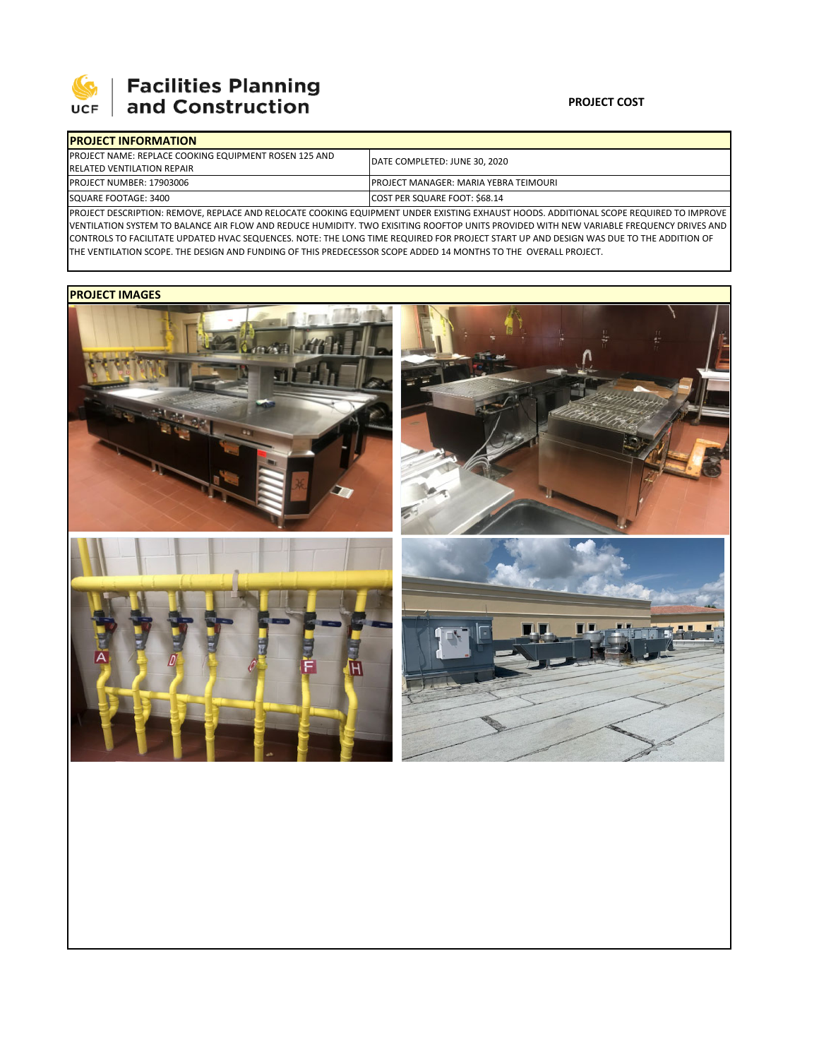

## 

| <b>IPROJECT INFORMATION</b>                                   |                                                                                                                                                |  |  |  |
|---------------------------------------------------------------|------------------------------------------------------------------------------------------------------------------------------------------------|--|--|--|
| <b>IPROJECT NAME: REPLACE COOKING EQUIPMENT ROSEN 125 AND</b> | <b>IDATE COMPLETED: JUNE 30, 2020</b>                                                                                                          |  |  |  |
| <b>RELATED VENTILATION REPAIR</b>                             |                                                                                                                                                |  |  |  |
| <b>PROJECT NUMBER: 17903006</b>                               | <b>PROJECT MANAGER: MARIA YEBRA TEIMOURI</b>                                                                                                   |  |  |  |
| SQUARE FOOTAGE: 3400                                          | COST PER SQUARE FOOT: \$68.14                                                                                                                  |  |  |  |
|                                                               | <b>DROIFCE BECOURTION</b> , BELIOVE, BEN LCE AND BELOCATE COOVING FOURMENT UNBER EVICTING EVILLUCT UOOBS, ABBITIONAL SCORE BEQUIRER TO IMPROVE |  |  |  |

PROJECT DESCRIPTION: REMOVE, REPLACE AND RELOCATE COOKING EQUIPMENT UNDER EXISTING EXHAUST HOODS. ADDITIONAL SCOPE REQUIRED TO IMPROVE VENTILATION SYSTEM TO BALANCE AIR FLOW AND REDUCE HUMIDITY. TWO EXISITING ROOFTOP UNITS PROVIDED WITH NEW VARIABLE FREQUENCY DRIVES AND CONTROLS TO FACILITATE UPDATED HVAC SEQUENCES. NOTE: THE LONG TIME REQUIRED FOR PROJECT START UP AND DESIGN WAS DUE TO THE ADDITION OF THE VENTILATION SCOPE. THE DESIGN AND FUNDING OF THIS PREDECESSOR SCOPE ADDED 14 MONTHS TO THE OVERALL PROJECT.

## **PROJECT IMAGES**